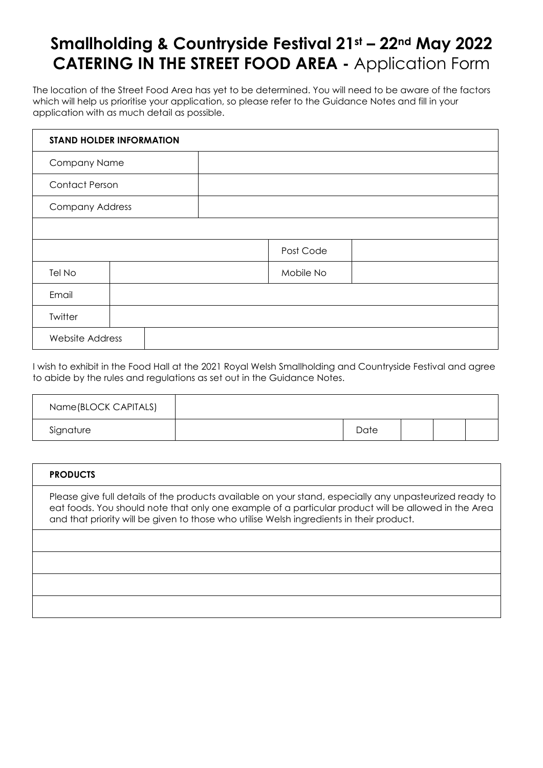## **Smallholding & Countryside Festival 21st – 22nd May 2022 CATERING IN THE STREET FOOD AREA -** Application Form

The location of the Street Food Area has yet to be determined. You will need to be aware of the factors which will help us prioritise your application, so please refer to the Guidance Notes and fill in your application with as much detail as possible.

| <b>STAND HOLDER INFORMATION</b> |  |  |           |  |
|---------------------------------|--|--|-----------|--|
| Company Name                    |  |  |           |  |
| <b>Contact Person</b>           |  |  |           |  |
| <b>Company Address</b>          |  |  |           |  |
|                                 |  |  |           |  |
|                                 |  |  | Post Code |  |
| Tel No                          |  |  | Mobile No |  |
| Email                           |  |  |           |  |
| Twitter                         |  |  |           |  |
| <b>Website Address</b>          |  |  |           |  |

I wish to exhibit in the Food Hall at the 2021 Royal Welsh Smallholding and Countryside Festival and agree to abide by the rules and regulations as set out in the Guidance Notes.

| Name(BLOCK CAPITALS) |      |  |  |
|----------------------|------|--|--|
| Signature            | Date |  |  |

| <b>PRODUCTS</b>                                                                                                                                                                                                                                                                                             |
|-------------------------------------------------------------------------------------------------------------------------------------------------------------------------------------------------------------------------------------------------------------------------------------------------------------|
| Please give full details of the products available on your stand, especially any unpasteurized ready to<br>eat foods. You should note that only one example of a particular product will be allowed in the Area<br>and that priority will be given to those who utilise Welsh ingredients in their product. |
|                                                                                                                                                                                                                                                                                                             |
|                                                                                                                                                                                                                                                                                                             |
|                                                                                                                                                                                                                                                                                                             |
|                                                                                                                                                                                                                                                                                                             |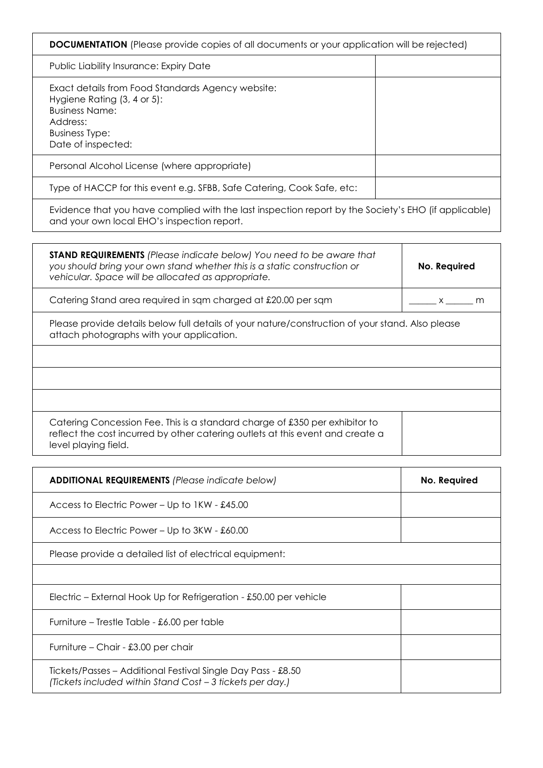| Public Liability Insurance: Expiry Date                                                                                                                                               |                                |
|---------------------------------------------------------------------------------------------------------------------------------------------------------------------------------------|--------------------------------|
| Exact details from Food Standards Agency website:                                                                                                                                     |                                |
| Hygiene Rating (3, 4 or 5):<br><b>Business Name:</b>                                                                                                                                  |                                |
| Address:                                                                                                                                                                              |                                |
| <b>Business Type:</b>                                                                                                                                                                 |                                |
| Date of inspected:                                                                                                                                                                    |                                |
| Personal Alcohol License (where appropriate)                                                                                                                                          |                                |
| Type of HACCP for this event e.g. SFBB, Safe Catering, Cook Safe, etc:                                                                                                                |                                |
| Evidence that you have complied with the last inspection report by the Society's EHO (if applicable)<br>and your own local EHO's inspection report.                                   |                                |
| <b>STAND REQUIREMENTS</b> (Please indicate below) You need to be aware that<br>you should bring your own stand whether this is a static construction or                               | No. Required                   |
| vehicular. Space will be allocated as appropriate.                                                                                                                                    |                                |
| Catering Stand area required in sqm charged at £20.00 per sqm                                                                                                                         | $x \underline{\hspace{2cm}}$ m |
| Please provide details below full details of your nature/construction of your stand. Also please<br>attach photographs with your application.                                         |                                |
|                                                                                                                                                                                       |                                |
|                                                                                                                                                                                       |                                |
| Catering Concession Fee. This is a standard charge of £350 per exhibitor to<br>reflect the cost incurred by other catering outlets at this event and create a<br>level playing field. |                                |
|                                                                                                                                                                                       |                                |
| <b>ADDITIONAL REQUIREMENTS (Please indicate below)</b>                                                                                                                                | No. Required                   |
|                                                                                                                                                                                       |                                |

Access to Electric Power – Up to 3KW - £60.00

Please provide a detailed list of electrical equipment:

Electric – External Hook Up for Refrigeration - £50.00 per vehicle

Furniture – Trestle Table - £6.00 per table

Furniture – Chair - £3.00 per chair

Tickets/Passes – Additional Festival Single Day Pass - £8.50 *(Tickets included within Stand Cost – 3 tickets per day.)*